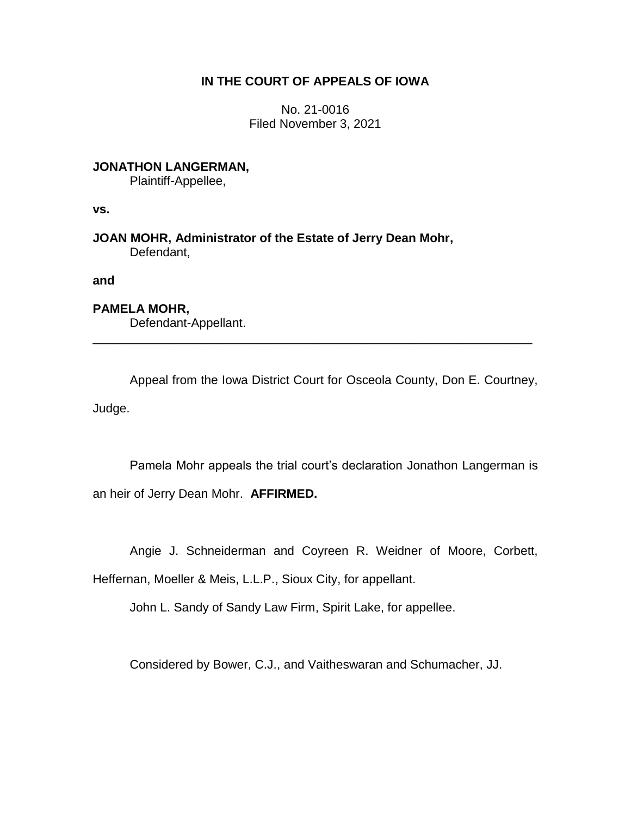# **IN THE COURT OF APPEALS OF IOWA**

No. 21-0016 Filed November 3, 2021

# **JONATHON LANGERMAN,**

Plaintiff-Appellee,

**vs.**

**JOAN MOHR, Administrator of the Estate of Jerry Dean Mohr,** Defendant,

**and**

**PAMELA MOHR,** Defendant-Appellant.

Appeal from the Iowa District Court for Osceola County, Don E. Courtney, Judge.

\_\_\_\_\_\_\_\_\_\_\_\_\_\_\_\_\_\_\_\_\_\_\_\_\_\_\_\_\_\_\_\_\_\_\_\_\_\_\_\_\_\_\_\_\_\_\_\_\_\_\_\_\_\_\_\_\_\_\_\_\_\_\_\_

Pamela Mohr appeals the trial court's declaration Jonathon Langerman is an heir of Jerry Dean Mohr. **AFFIRMED.**

Angie J. Schneiderman and Coyreen R. Weidner of Moore, Corbett,

Heffernan, Moeller & Meis, L.L.P., Sioux City, for appellant.

John L. Sandy of Sandy Law Firm, Spirit Lake, for appellee.

Considered by Bower, C.J., and Vaitheswaran and Schumacher, JJ.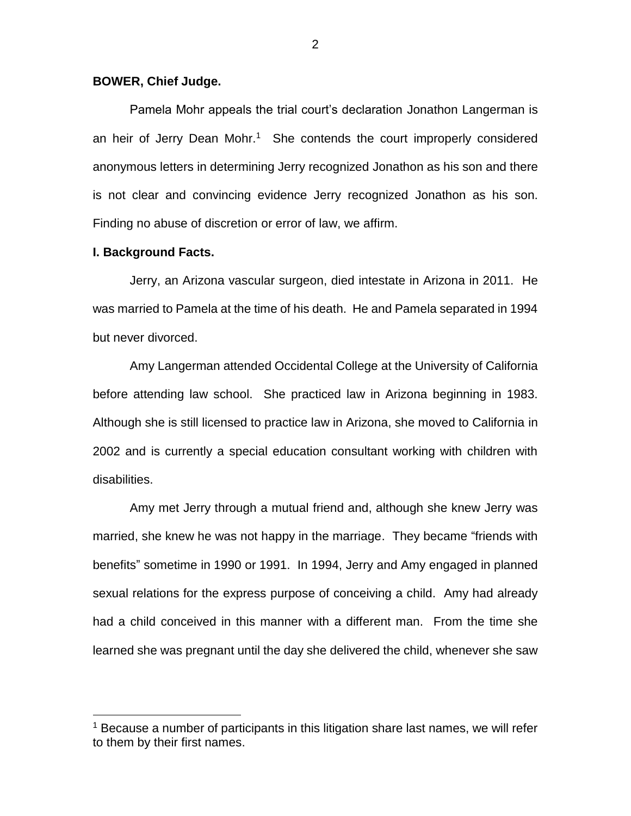## **BOWER, Chief Judge.**

Pamela Mohr appeals the trial court's declaration Jonathon Langerman is an heir of Jerry Dean Mohr.<sup>1</sup> She contends the court improperly considered anonymous letters in determining Jerry recognized Jonathon as his son and there is not clear and convincing evidence Jerry recognized Jonathon as his son. Finding no abuse of discretion or error of law, we affirm.

### **I. Background Facts.**

 $\overline{a}$ 

Jerry, an Arizona vascular surgeon, died intestate in Arizona in 2011. He was married to Pamela at the time of his death. He and Pamela separated in 1994 but never divorced.

Amy Langerman attended Occidental College at the University of California before attending law school. She practiced law in Arizona beginning in 1983. Although she is still licensed to practice law in Arizona, she moved to California in 2002 and is currently a special education consultant working with children with disabilities.

Amy met Jerry through a mutual friend and, although she knew Jerry was married, she knew he was not happy in the marriage. They became "friends with benefits" sometime in 1990 or 1991. In 1994, Jerry and Amy engaged in planned sexual relations for the express purpose of conceiving a child. Amy had already had a child conceived in this manner with a different man. From the time she learned she was pregnant until the day she delivered the child, whenever she saw

 $1$  Because a number of participants in this litigation share last names, we will refer to them by their first names.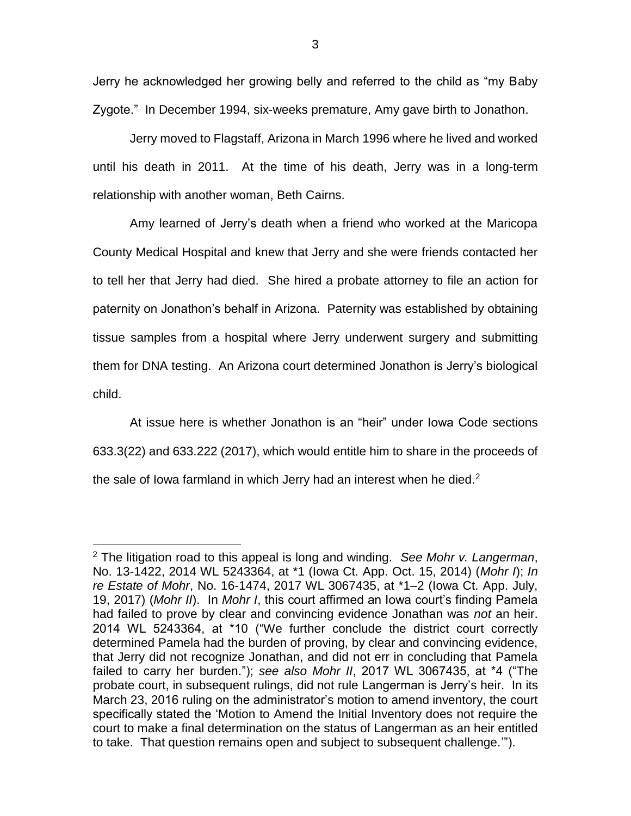Jerry he acknowledged her growing belly and referred to the child as "my Baby Zygote." In December 1994, six-weeks premature, Amy gave birth to Jonathon.

Jerry moved to Flagstaff, Arizona in March 1996 where he lived and worked until his death in 2011. At the time of his death, Jerry was in a long-term relationship with another woman, Beth Cairns.

Amy learned of Jerry's death when a friend who worked at the Maricopa County Medical Hospital and knew that Jerry and she were friends contacted her to tell her that Jerry had died. She hired a probate attorney to file an action for paternity on Jonathon's behalf in Arizona. Paternity was established by obtaining tissue samples from a hospital where Jerry underwent surgery and submitting them for DNA testing. An Arizona court determined Jonathon is Jerry's biological child.

At issue here is whether Jonathon is an "heir" under Iowa Code sections 633.3(22) and 633.222 (2017), which would entitle him to share in the proceeds of the sale of lowa farmland in which Jerry had an interest when he died.<sup>2</sup>

 $\overline{a}$ 

<sup>2</sup> The litigation road to this appeal is long and winding. *See Mohr v. Langerman*, No. 13-1422, 2014 WL 5243364, at \*1 (Iowa Ct. App. Oct. 15, 2014) (*Mohr I*); *In re Estate of Mohr*, No. 16-1474, 2017 WL 3067435, at \*1–2 (Iowa Ct. App. July, 19, 2017) (*Mohr II*). In *Mohr I*, this court affirmed an Iowa court's finding Pamela had failed to prove by clear and convincing evidence Jonathan was *not* an heir. 2014 WL 5243364, at \*10 ("We further conclude the district court correctly determined Pamela had the burden of proving, by clear and convincing evidence, that Jerry did not recognize Jonathan, and did not err in concluding that Pamela failed to carry her burden."); *see also Mohr II*, 2017 WL 3067435, at \*4 ("The probate court, in subsequent rulings, did not rule Langerman is Jerry's heir. In its March 23, 2016 ruling on the administrator's motion to amend inventory, the court specifically stated the 'Motion to Amend the Initial Inventory does not require the court to make a final determination on the status of Langerman as an heir entitled to take. That question remains open and subject to subsequent challenge.'").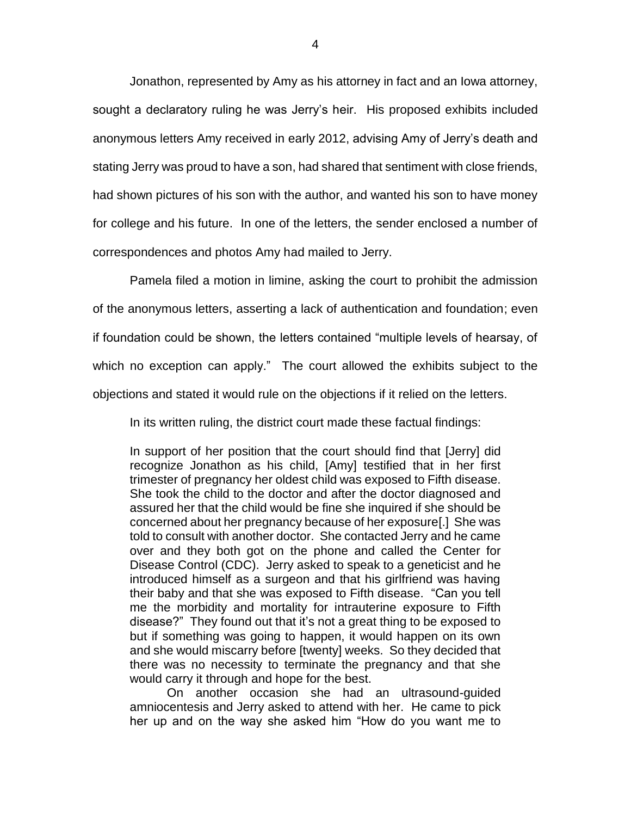Jonathon, represented by Amy as his attorney in fact and an Iowa attorney, sought a declaratory ruling he was Jerry's heir. His proposed exhibits included anonymous letters Amy received in early 2012, advising Amy of Jerry's death and stating Jerry was proud to have a son, had shared that sentiment with close friends, had shown pictures of his son with the author, and wanted his son to have money for college and his future. In one of the letters, the sender enclosed a number of correspondences and photos Amy had mailed to Jerry.

Pamela filed a motion in limine, asking the court to prohibit the admission of the anonymous letters, asserting a lack of authentication and foundation; even if foundation could be shown, the letters contained "multiple levels of hearsay, of which no exception can apply." The court allowed the exhibits subject to the objections and stated it would rule on the objections if it relied on the letters.

In its written ruling, the district court made these factual findings:

In support of her position that the court should find that [Jerry] did recognize Jonathon as his child, [Amy] testified that in her first trimester of pregnancy her oldest child was exposed to Fifth disease. She took the child to the doctor and after the doctor diagnosed and assured her that the child would be fine she inquired if she should be concerned about her pregnancy because of her exposure[.] She was told to consult with another doctor. She contacted Jerry and he came over and they both got on the phone and called the Center for Disease Control (CDC). Jerry asked to speak to a geneticist and he introduced himself as a surgeon and that his girlfriend was having their baby and that she was exposed to Fifth disease. "Can you tell me the morbidity and mortality for intrauterine exposure to Fifth disease?" They found out that it's not a great thing to be exposed to but if something was going to happen, it would happen on its own and she would miscarry before [twenty] weeks. So they decided that there was no necessity to terminate the pregnancy and that she would carry it through and hope for the best.

On another occasion she had an ultrasound-guided amniocentesis and Jerry asked to attend with her. He came to pick her up and on the way she asked him "How do you want me to

4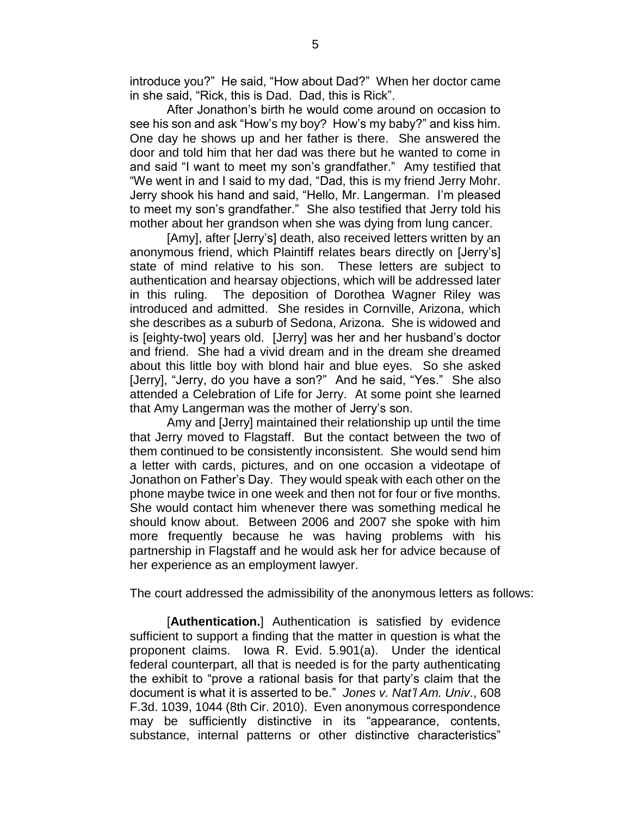introduce you?" He said, "How about Dad?" When her doctor came in she said, "Rick, this is Dad. Dad, this is Rick".

After Jonathon's birth he would come around on occasion to see his son and ask "How's my boy? How's my baby?" and kiss him. One day he shows up and her father is there. She answered the door and told him that her dad was there but he wanted to come in and said "I want to meet my son's grandfather." Amy testified that "We went in and I said to my dad, "Dad, this is my friend Jerry Mohr. Jerry shook his hand and said, "Hello, Mr. Langerman. I'm pleased to meet my son's grandfather." She also testified that Jerry told his mother about her grandson when she was dying from lung cancer.

[Amy], after [Jerry's] death, also received letters written by an anonymous friend, which Plaintiff relates bears directly on [Jerry's] state of mind relative to his son. These letters are subject to authentication and hearsay objections, which will be addressed later in this ruling. The deposition of Dorothea Wagner Riley was introduced and admitted. She resides in Cornville, Arizona, which she describes as a suburb of Sedona, Arizona. She is widowed and is [eighty-two] years old. [Jerry] was her and her husband's doctor and friend. She had a vivid dream and in the dream she dreamed about this little boy with blond hair and blue eyes. So she asked [Jerry], "Jerry, do you have a son?" And he said, "Yes." She also attended a Celebration of Life for Jerry. At some point she learned that Amy Langerman was the mother of Jerry's son.

Amy and [Jerry] maintained their relationship up until the time that Jerry moved to Flagstaff. But the contact between the two of them continued to be consistently inconsistent. She would send him a letter with cards, pictures, and on one occasion a videotape of Jonathon on Father's Day. They would speak with each other on the phone maybe twice in one week and then not for four or five months. She would contact him whenever there was something medical he should know about. Between 2006 and 2007 she spoke with him more frequently because he was having problems with his partnership in Flagstaff and he would ask her for advice because of her experience as an employment lawyer.

The court addressed the admissibility of the anonymous letters as follows:

[**Authentication.**] Authentication is satisfied by evidence sufficient to support a finding that the matter in question is what the proponent claims. Iowa R. Evid. 5.901(a). Under the identical federal counterpart, all that is needed is for the party authenticating the exhibit to "prove a rational basis for that party's claim that the document is what it is asserted to be." *Jones v. Nat'l Am. Univ*., 608 F.3d. 1039, 1044 (8th Cir. 2010). Even anonymous correspondence may be sufficiently distinctive in its "appearance, contents, substance, internal patterns or other distinctive characteristics"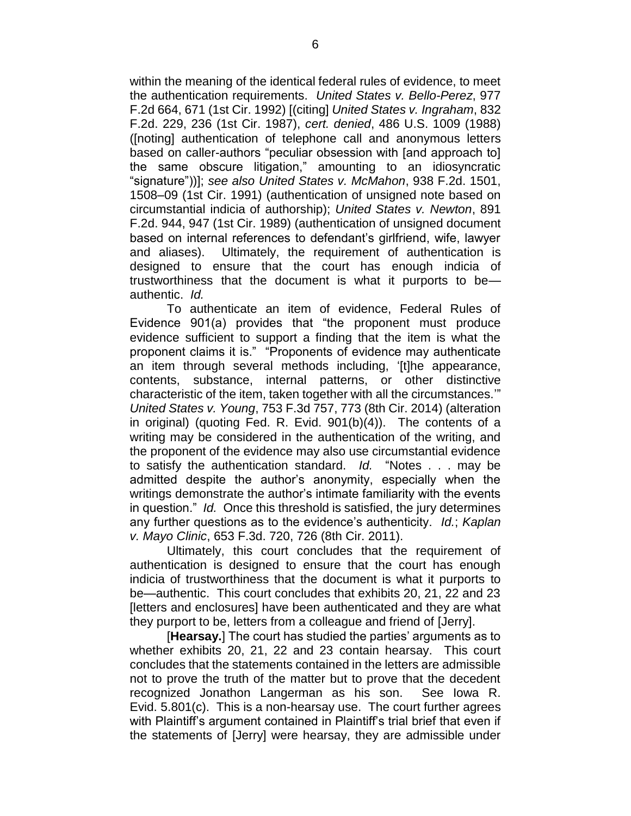within the meaning of the identical federal rules of evidence, to meet the authentication requirements. *United States v. Bello-Perez*, 977 F.2d 664, 671 (1st Cir. 1992) [(citing] *United States v. Ingraham*, 832 F.2d. 229, 236 (1st Cir. 1987), *cert. denied*, 486 U.S. 1009 (1988) ([noting] authentication of telephone call and anonymous letters based on caller-authors "peculiar obsession with [and approach to] the same obscure litigation," amounting to an idiosyncratic "signature"))]; *see also United States v. McMahon*, 938 F.2d. 1501, 1508–09 (1st Cir. 1991) (authentication of unsigned note based on circumstantial indicia of authorship); *United States v. Newton*, 891 F.2d. 944, 947 (1st Cir. 1989) (authentication of unsigned document based on internal references to defendant's girlfriend, wife, lawyer and aliases). Ultimately, the requirement of authentication is designed to ensure that the court has enough indicia of trustworthiness that the document is what it purports to be authentic. *Id.*

To authenticate an item of evidence, Federal Rules of Evidence 901(a) provides that "the proponent must produce evidence sufficient to support a finding that the item is what the proponent claims it is." "Proponents of evidence may authenticate an item through several methods including, '[t]he appearance, contents, substance, internal patterns, or other distinctive characteristic of the item, taken together with all the circumstances.'" *United States v. Young*, 753 F.3d 757, 773 (8th Cir. 2014) (alteration in original) (quoting Fed. R. Evid. 901(b)(4)). The contents of a writing may be considered in the authentication of the writing, and the proponent of the evidence may also use circumstantial evidence to satisfy the authentication standard. *Id.* "Notes . . . may be admitted despite the author's anonymity, especially when the writings demonstrate the author's intimate familiarity with the events in question." *Id.* Once this threshold is satisfied, the jury determines any further questions as to the evidence's authenticity. *Id.*; *Kaplan v. Mayo Clinic*, 653 F.3d. 720, 726 (8th Cir. 2011).

Ultimately, this court concludes that the requirement of authentication is designed to ensure that the court has enough indicia of trustworthiness that the document is what it purports to be—authentic. This court concludes that exhibits 20, 21, 22 and 23 [letters and enclosures] have been authenticated and they are what they purport to be, letters from a colleague and friend of [Jerry].

[**Hearsay.**] The court has studied the parties' arguments as to whether exhibits 20, 21, 22 and 23 contain hearsay. This court concludes that the statements contained in the letters are admissible not to prove the truth of the matter but to prove that the decedent recognized Jonathon Langerman as his son. See Iowa R. Evid. 5.801(c). This is a non-hearsay use. The court further agrees with Plaintiff's argument contained in Plaintiff's trial brief that even if the statements of [Jerry] were hearsay, they are admissible under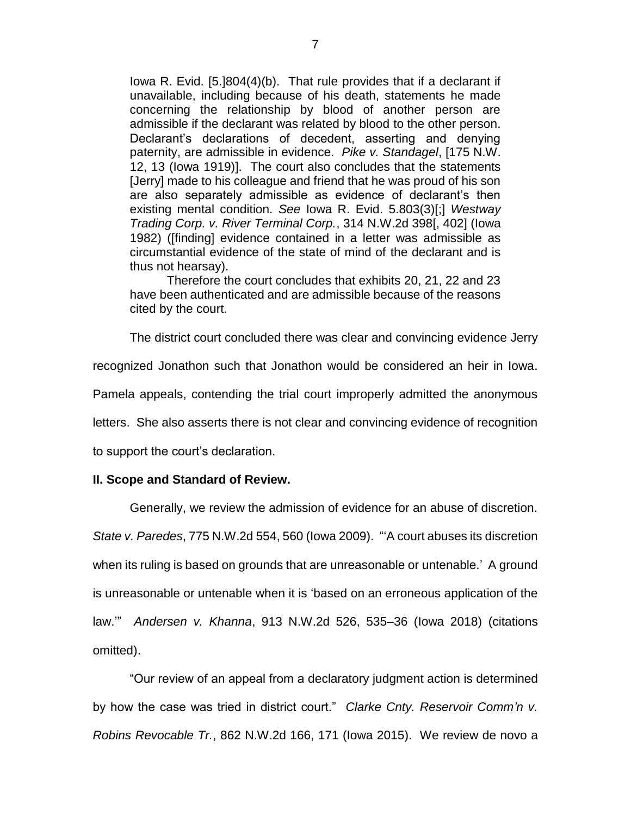Iowa R. Evid. [5.]804(4)(b). That rule provides that if a declarant if unavailable, including because of his death, statements he made concerning the relationship by blood of another person are admissible if the declarant was related by blood to the other person. Declarant's declarations of decedent, asserting and denying paternity, are admissible in evidence. *Pike v. Standagel*, [175 N.W. 12, 13 (Iowa 1919)]. The court also concludes that the statements [Jerry] made to his colleague and friend that he was proud of his son are also separately admissible as evidence of declarant's then existing mental condition. *See* Iowa R. Evid. 5.803(3)[;] *Westway Trading Corp. v. River Terminal Corp.*, 314 N.W.2d 398[, 402] (Iowa 1982) ([finding] evidence contained in a letter was admissible as circumstantial evidence of the state of mind of the declarant and is thus not hearsay).

Therefore the court concludes that exhibits 20, 21, 22 and 23 have been authenticated and are admissible because of the reasons cited by the court.

The district court concluded there was clear and convincing evidence Jerry

recognized Jonathon such that Jonathon would be considered an heir in Iowa.

Pamela appeals, contending the trial court improperly admitted the anonymous

letters. She also asserts there is not clear and convincing evidence of recognition

to support the court's declaration.

## **II. Scope and Standard of Review.**

Generally, we review the admission of evidence for an abuse of discretion.

*State v. Paredes*, 775 N.W.2d 554, 560 (Iowa 2009). "'A court abuses its discretion when its ruling is based on grounds that are unreasonable or untenable.' A ground is unreasonable or untenable when it is 'based on an erroneous application of the law.'" *Andersen v. Khanna*, 913 N.W.2d 526, 535–36 (Iowa 2018) (citations omitted).

"Our review of an appeal from a declaratory judgment action is determined by how the case was tried in district court." *Clarke Cnty. Reservoir Comm'n v. Robins Revocable Tr.*, 862 N.W.2d 166, 171 (Iowa 2015). We review de novo a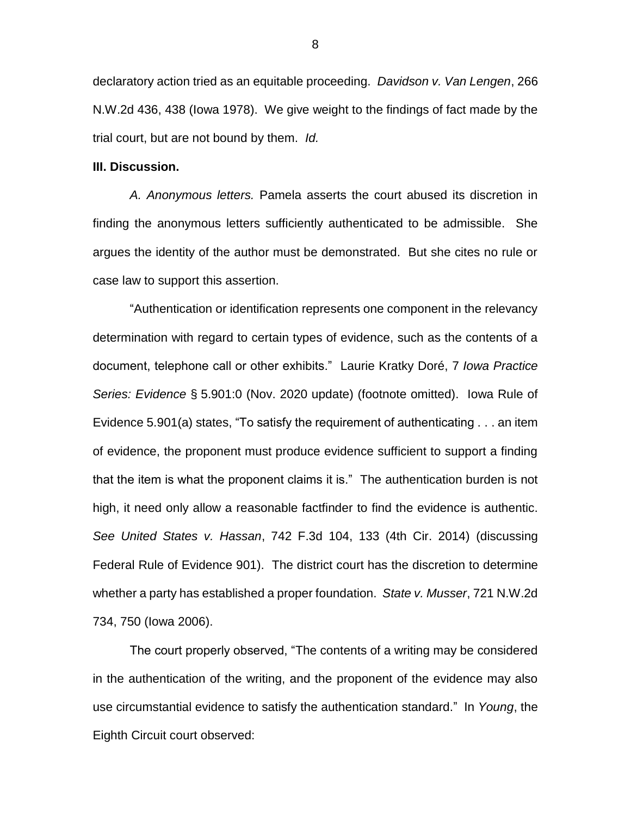declaratory action tried as an equitable proceeding. *Davidson v. Van Lengen*, 266 N.W.2d 436, 438 (Iowa 1978). We give weight to the findings of fact made by the trial court, but are not bound by them. *Id.*

## **III. Discussion.**

*A. Anonymous letters.* Pamela asserts the court abused its discretion in finding the anonymous letters sufficiently authenticated to be admissible. She argues the identity of the author must be demonstrated. But she cites no rule or case law to support this assertion.

"Authentication or identification represents one component in the relevancy determination with regard to certain types of evidence, such as the contents of a document, telephone call or other exhibits." Laurie Kratky Doré, 7 *Iowa Practice Series: Evidence* § 5.901:0 (Nov. 2020 update) (footnote omitted). Iowa Rule of Evidence 5.901(a) states, "To satisfy the requirement of authenticating . . . an item of evidence, the proponent must produce evidence sufficient to support a finding that the item is what the proponent claims it is." The authentication burden is not high, it need only allow a reasonable factfinder to find the evidence is authentic. *See United States v. Hassan*, 742 F.3d 104, 133 (4th Cir. 2014) (discussing Federal Rule of Evidence 901). The district court has the discretion to determine whether a party has established a proper foundation. *State v. Musser*, 721 N.W.2d 734, 750 (Iowa 2006).

The court properly observed, "The contents of a writing may be considered in the authentication of the writing, and the proponent of the evidence may also use circumstantial evidence to satisfy the authentication standard." In *Young*, the Eighth Circuit court observed:

8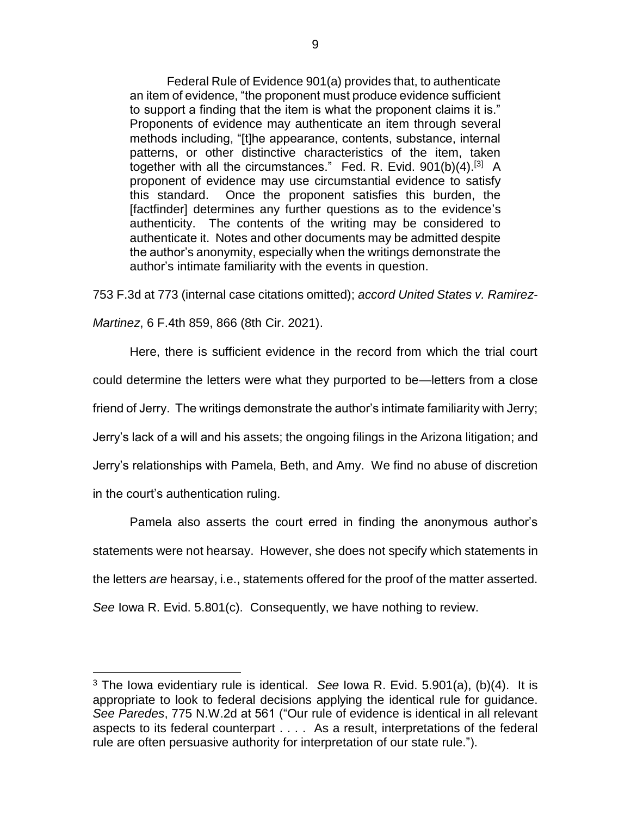Federal Rule of Evidence 901(a) provides that, to authenticate an item of evidence, "the proponent must produce evidence sufficient to support a finding that the item is what the proponent claims it is." Proponents of evidence may authenticate an item through several methods including, "[t]he appearance, contents, substance, internal patterns, or other distinctive characteristics of the item, taken together with all the circumstances." Fed. R. Evid.  $901(b)(4)$ .<sup>[3]</sup> A proponent of evidence may use circumstantial evidence to satisfy this standard. Once the proponent satisfies this burden, the [factfinder] determines any further questions as to the evidence's authenticity. The contents of the writing may be considered to authenticate it. Notes and other documents may be admitted despite the author's anonymity, especially when the writings demonstrate the author's intimate familiarity with the events in question.

753 F.3d at 773 (internal case citations omitted); *accord United States v. Ramirez-*

*Martinez*, 6 F.4th 859, 866 (8th Cir. 2021).

 $\overline{a}$ 

Here, there is sufficient evidence in the record from which the trial court could determine the letters were what they purported to be—letters from a close friend of Jerry. The writings demonstrate the author's intimate familiarity with Jerry; Jerry's lack of a will and his assets; the ongoing filings in the Arizona litigation; and Jerry's relationships with Pamela, Beth, and Amy. We find no abuse of discretion in the court's authentication ruling.

Pamela also asserts the court erred in finding the anonymous author's statements were not hearsay. However, she does not specify which statements in the letters *are* hearsay, i.e., statements offered for the proof of the matter asserted. *See* Iowa R. Evid. 5.801(c). Consequently, we have nothing to review.

<sup>3</sup> The Iowa evidentiary rule is identical. *See* Iowa R. Evid. 5.901(a), (b)(4). It is appropriate to look to federal decisions applying the identical rule for guidance. *See Paredes*, 775 N.W.2d at 561 ("Our rule of evidence is identical in all relevant aspects to its federal counterpart . . . . As a result, interpretations of the federal rule are often persuasive authority for interpretation of our state rule.").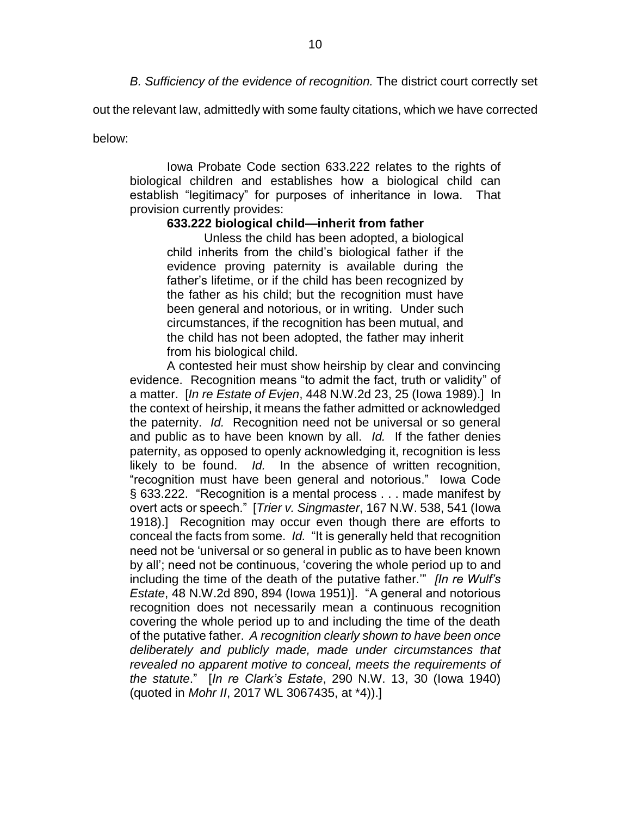*B. Sufficiency of the evidence of recognition.* The district court correctly set

out the relevant law, admittedly with some faulty citations, which we have corrected

below:

Iowa Probate Code section 633.222 relates to the rights of biological children and establishes how a biological child can establish "legitimacy" for purposes of inheritance in Iowa. That provision currently provides:

# **633.222 biological child—inherit from father**

Unless the child has been adopted, a biological child inherits from the child's biological father if the evidence proving paternity is available during the father's lifetime, or if the child has been recognized by the father as his child; but the recognition must have been general and notorious, or in writing. Under such circumstances, if the recognition has been mutual, and the child has not been adopted, the father may inherit from his biological child.

A contested heir must show heirship by clear and convincing evidence. Recognition means "to admit the fact, truth or validity" of a matter. [*In re Estate of Evjen*, 448 N.W.2d 23, 25 (Iowa 1989).] In the context of heirship, it means the father admitted or acknowledged the paternity. *Id.* Recognition need not be universal or so general and public as to have been known by all. *Id.* If the father denies paternity, as opposed to openly acknowledging it, recognition is less likely to be found. *Id.* In the absence of written recognition, "recognition must have been general and notorious." Iowa Code § 633.222. "Recognition is a mental process . . . made manifest by overt acts or speech." [*Trier v. Singmaster*, 167 N.W. 538, 541 (Iowa 1918).] Recognition may occur even though there are efforts to conceal the facts from some. *Id.* "It is generally held that recognition need not be 'universal or so general in public as to have been known by all'; need not be continuous, 'covering the whole period up to and including the time of the death of the putative father.'" *[In re Wulf's Estate*, 48 N.W.2d 890, 894 (Iowa 1951)]. "A general and notorious recognition does not necessarily mean a continuous recognition covering the whole period up to and including the time of the death of the putative father. *A recognition clearly shown to have been once deliberately and publicly made, made under circumstances that revealed no apparent motive to conceal, meets the requirements of the statute*." [*In re Clark's Estate*, 290 N.W. 13, 30 (Iowa 1940) (quoted in *Mohr II*, 2017 WL 3067435, at \*4)).]